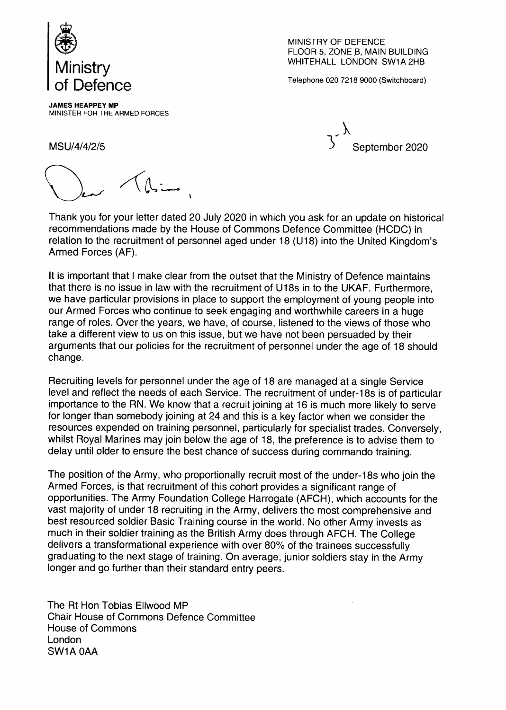

MINISTRY OF DEFENCE FLOOR 5, ZONE B, MAIN BUILDING WHITEHALL LONDON SW1A 2HB

Telephone 020 7218 9000 (Switchboard)

JAMES HEAPPEY MP MINISTER FOR THE ARMED FORCES

MSU/4/4/2/5 September 2020

Thank you for your letter dated 20 July 2020 in which you ask for an update on historical recommendations made by the House of Commons Defence Committee (HCDC) in relation to the recruitment of personnel aged under 18 (U18) into the United Kingdom's Armed Forces (AF).

It is important that I make clear from the outset that the Ministry of Defence maintains that there is no issue in law with the recruitment of U18s in to the UKAF. Furthermore, we have particular provisions in place to support the employment of young people into our Armed Forces who continue to seek engaging and worthwhile careers in a huge range of roles. Over the years, we have, of course, listened to the views of those who take a different view to us on this issue, but we have not been persuaded by their arguments that our policies for the recruitment of personnel under the age of 18 should change.

Recruiting levels for personnel under the age of 18 are managed at a single Service level and reflect the needs of each Service. The recruitment of under-18s is of particular importance to the RN. We know that a recruit joining at 16 is much more likely to serve for longer than somebody joining at 24 and this is a key factor when we consider the resources expended on training personnel, particularly for specialist trades. Conversely, whilst Royal Marines may join below the age of 18, the preference is to advise them to delay until older to ensure the best chance of success during commando training.

The position of the Army, who proportionally recruit most of the under-18s who join the Armed Forces, is that recruitment of this cohort provides a significant range of opportunities. The Army Foundation College Harrogate (AFCH), which accounts for the vast majority of under 18 recruiting in the Army, delivers the most comprehensive and best resourced soldier Basic Training course in the world. No other Army invests as much in their soldier training as the British Army does through AFCH. The College delivers a transformational experience with over 80% of the trainees successfully graduating to the next stage of training. On average, junior soldiers stay in the Army longer and go further than their standard entry peers.

The Rt Hon Tobias Ellwood MP Chair House of Commons Defence Committee House of Commons London SW1A OAA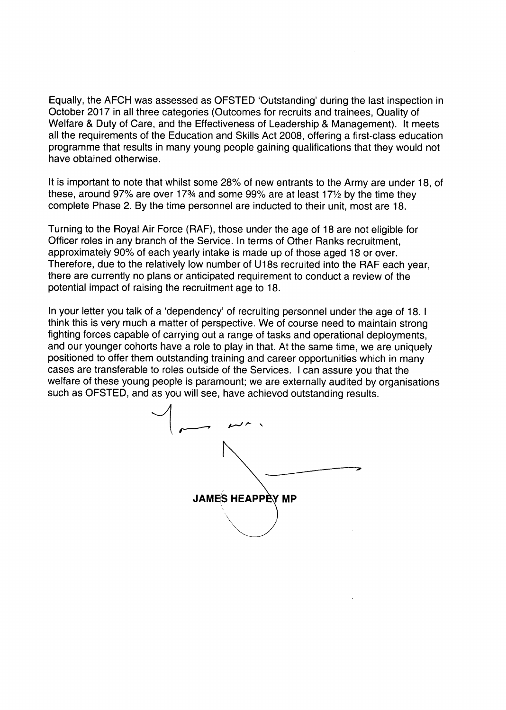Equally, the AFCH was assessed as OFSTED 'Outstanding' during the last inspection in October 2017 in all three categories (Outcomes for recruits and trainees, Quality of Welfare & Duty of Care, and the Effectiveness of Leadership & Management). It meets all the requirements of the Education and Skills Act 2008, offering a first-class education programme that results in many young people gaining qualifications that they would not have obtained otherwise.

It is important to note that whilst some 28% of new entrants to the Army are under 18, of these, around 97% are over 17% and some 99% are at least 17 $\frac{1}{2}$  by the time they complete Phase 2. By the time personnel are inducted to their unit, most are 18.

Turning to the Royal Air Force (RAF), those under the age of 18 are not eligible for Officer roles in any branch of the Service. In terms of Other Ranks recruitment, approximately 90% of each yearly intake is made up of those aged 18 or over. Therefore, due to the relatively low number of U18s recruited into the RAF each year, there are currently no plans or anticipated requirement to conduct a review of the potential impact of raising the recruitment age to 18.

In your letter you talk of a 'dependency' of recruiting personnel under the age of 18. I think this is very much a matter of perspective. We of course need to maintain strong fighting forces capable of carrying out a range of tasks and operational deployments, and our younger cohorts have a role to play in that. At the same time, we are uniquely positioned to offer them outstanding training and career opportunities which in many cases are transferable to roles outside of the Services. I can assure you that the welfare of these young people is paramount; we are externally audited by organisations such as OFSTED, and as you will see, have achieved outstanding results.

JAMES HEAPPEY MP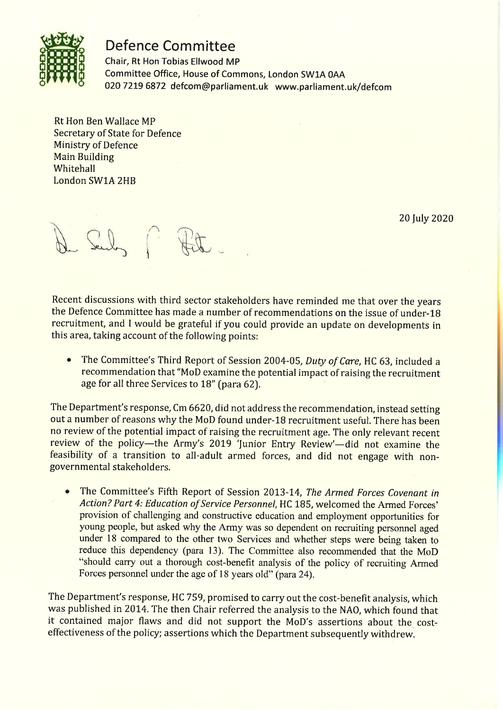

## **Defence Committee**

Chair, Rt Hon Tobias Ellwood MP Committee Office, House of Commons, London SW1A 0AA 020 7219 6872 defcom@parliament.uk www.parliament.uk/defcom

**Rt Hon Ben Wallace MP Secretary of State for Defence Ministry of Defence Main Building** Whitehall London SW1A 2HB

20 July 2020

Recent discussions with third sector stakeholders have reminded me that over the years the Defence Committee has made a number of recommendations on the issue of under-18 recruitment, and I would be grateful if you could provide an update on developments in this area, taking account of the following points:

The Committee's Third Report of Session 2004-05, Duty of Care, HC 63, included a  $\bullet$ recommendation that "MoD examine the potential impact of raising the recruitment age for all three Services to 18" (para 62).

The Department's response, Cm 6620, did not address the recommendation, instead setting out a number of reasons why the MoD found under-18 recruitment useful. There has been no review of the potential impact of raising the recruitment age. The only relevant recent review of the policy—the Army's 2019 'Junior Entry Review'—did not examine the feasibility of a transition to all-adult armed forces, and did not engage with nongovernmental stakeholders.

The Committee's Fifth Report of Session 2013-14, The Armed Forces Covenant in Action? Part 4: Education of Service Personnel, HC 185, welcomed the Armed Forces' provision of challenging and constructive education and employment opportunities for young people, but asked why the Army was so dependent on recruiting personnel aged under 18 compared to the other two Services and whether steps were being taken to reduce this dependency (para 13). The Committee also recommended that the MoD "should carry out a thorough cost-benefit analysis of the policy of recruiting Armed Forces personnel under the age of 18 years old" (para 24).

The Department's response, HC 759, promised to carry out the cost-benefit analysis, which was published in 2014. The then Chair referred the analysis to the NAO, which found that it contained major flaws and did not support the MoD's assertions about the costeffectiveness of the policy; assertions which the Department subsequently withdrew.